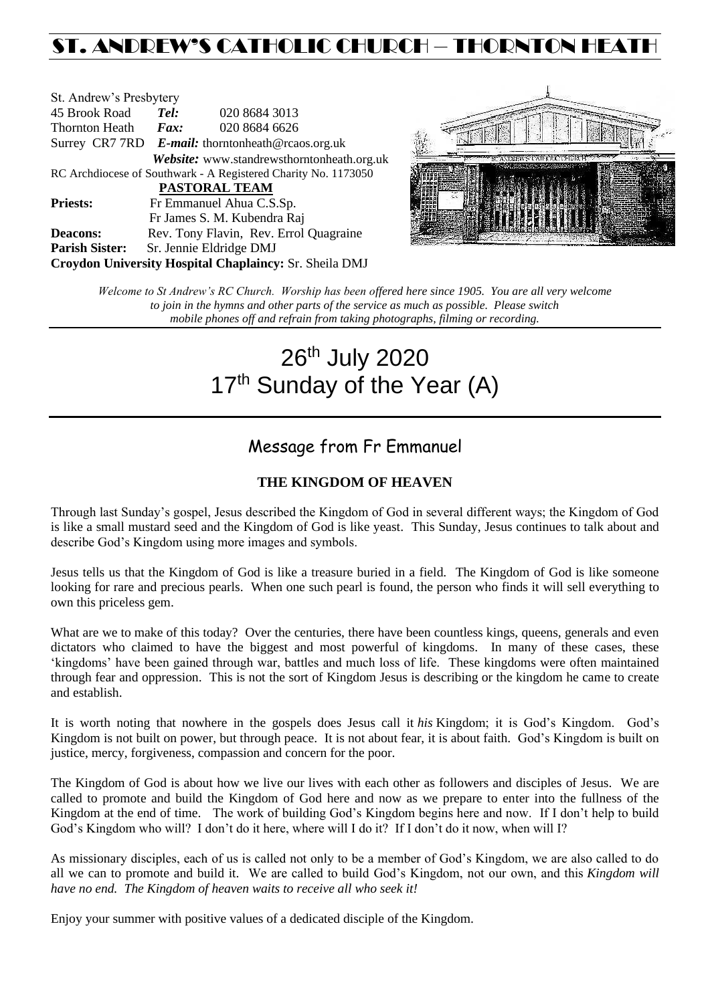# ST. ANDREW'S CATHOLIC CHURCH – THORNTON HEAT

| St. Andrew's Presbytery                                        |                                                   |  |                                                   |  |  |
|----------------------------------------------------------------|---------------------------------------------------|--|---------------------------------------------------|--|--|
| 45 Brook Road                                                  | Tel:                                              |  | 020 8684 3013                                     |  |  |
| Thornton Heath                                                 | $\boldsymbol{F}$ <i>ax</i> :                      |  | 020 8684 6626                                     |  |  |
|                                                                | Surrey CR7 7RD E-mail: thorntonheath@rcaos.org.uk |  |                                                   |  |  |
|                                                                |                                                   |  | <b>Website:</b> www.standrewsthorntonheath.org.uk |  |  |
| RC Archdiocese of Southwark - A Registered Charity No. 1173050 |                                                   |  |                                                   |  |  |
| PASTORAL TEAM                                                  |                                                   |  |                                                   |  |  |
| <b>Priests:</b>                                                | Fr Emmanuel Ahua C.S.Sp.                          |  |                                                   |  |  |
|                                                                |                                                   |  | Fr James S. M. Kubendra Raj                       |  |  |
| <b>Deacons:</b>                                                |                                                   |  | Rev. Tony Flavin, Rev. Errol Quagraine            |  |  |
| <b>Parish Sister:</b>                                          | Sr. Jennie Eldridge DMJ                           |  |                                                   |  |  |
| Croydon University Hospital Chaplaincy: Sr. Sheila DMJ         |                                                   |  |                                                   |  |  |



*Welcome to St Andrew's RC Church. Worship has been offered here since 1905. You are all very welcome to join in the hymns and other parts of the service as much as possible. Please switch mobile phones off and refrain from taking photographs, filming or recording.*

# 26<sup>th</sup> July 2020 17<sup>th</sup> Sunday of the Year (A)

## Message from Fr Emmanuel

### **THE KINGDOM OF HEAVEN**

Through last Sunday's gospel, Jesus described the Kingdom of God in several different ways; the Kingdom of God is like a small mustard seed and the Kingdom of God is like yeast. This Sunday, Jesus continues to talk about and describe God's Kingdom using more images and symbols.

Jesus tells us that the Kingdom of God is like a treasure buried in a field. The Kingdom of God is like someone looking for rare and precious pearls. When one such pearl is found, the person who finds it will sell everything to own this priceless gem.

What are we to make of this today? Over the centuries, there have been countless kings, queens, generals and even dictators who claimed to have the biggest and most powerful of kingdoms. In many of these cases, these 'kingdoms' have been gained through war, battles and much loss of life. These kingdoms were often maintained through fear and oppression. This is not the sort of Kingdom Jesus is describing or the kingdom he came to create and establish.

It is worth noting that nowhere in the gospels does Jesus call it *his* Kingdom; it is God's Kingdom. God's Kingdom is not built on power, but through peace. It is not about fear, it is about faith. God's Kingdom is built on justice, mercy, forgiveness, compassion and concern for the poor.

The Kingdom of God is about how we live our lives with each other as followers and disciples of Jesus. We are called to promote and build the Kingdom of God here and now as we prepare to enter into the fullness of the Kingdom at the end of time. The work of building God's Kingdom begins here and now. If I don't help to build God's Kingdom who will? I don't do it here, where will I do it? If I don't do it now, when will I?

As missionary disciples, each of us is called not only to be a member of God's Kingdom, we are also called to do all we can to promote and build it. We are called to build God's Kingdom, not our own, and this *Kingdom will have no end. The Kingdom of heaven waits to receive all who seek it!*

Enjoy your summer with positive values of a dedicated disciple of the Kingdom.